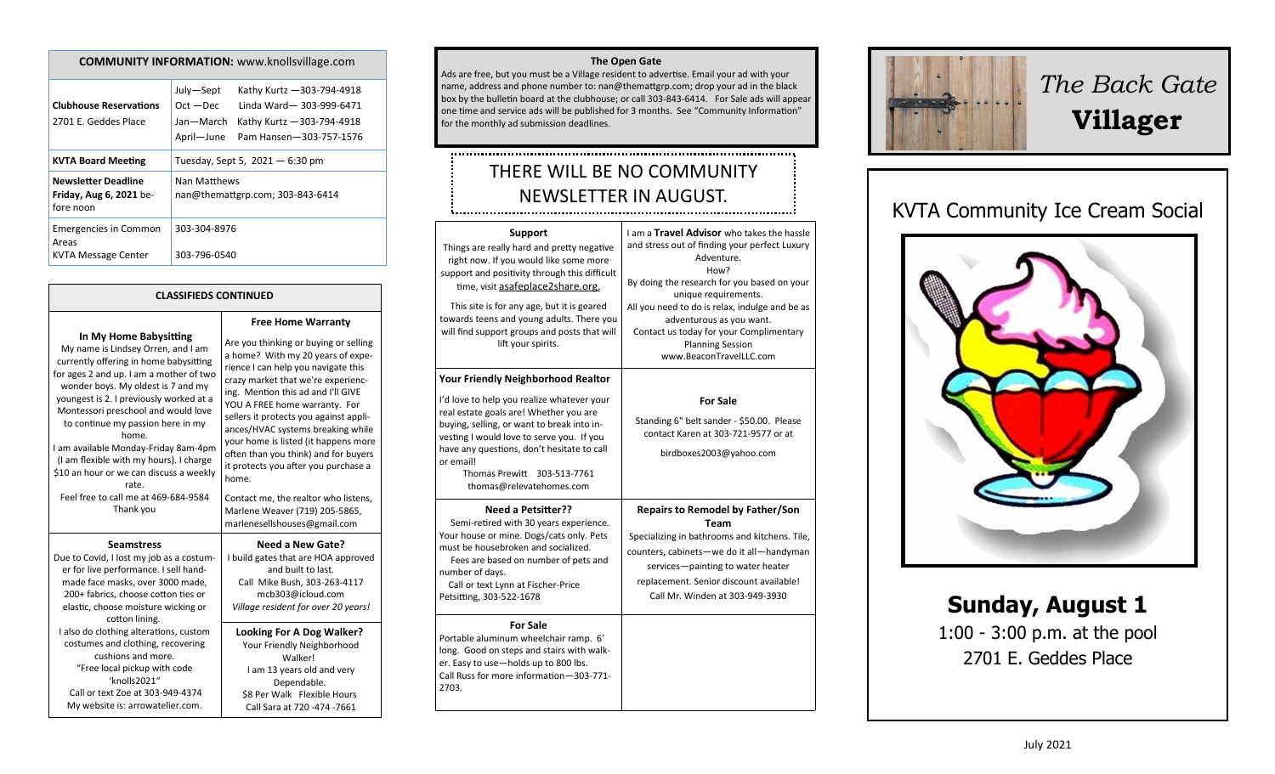| <b>COMMUNITY INFORMATION:</b> www.knollsvillage.com |  |
|-----------------------------------------------------|--|
|-----------------------------------------------------|--|

| July-Sept<br>$Oct - Dec$<br>Jan-March<br>April-June | Kathy Kurtz - 303-794-4918<br>Linda Ward-303-999-6471<br>Kathy Kurtz - 303-794-4918<br>Pam Hansen-303-757-1576 |
|-----------------------------------------------------|----------------------------------------------------------------------------------------------------------------|
| Tuesday, Sept 5, $2021 - 6:30$ pm                   |                                                                                                                |
| Nan Matthews<br>nan@themattgrp.com; 303-843-6414    |                                                                                                                |
| 303-304-8976<br>303-796-0540                        |                                                                                                                |
|                                                     |                                                                                                                |

#### **CLASSIFIEDS CONTINUED**

**In My Home Babysitting**

My name is Lindsey Orren, and I am currently offering in home babysitting for ages 2 and up. I am a mother of two wonder boys. My oldest is 7 and my youngest is 2. I previously worked at a Montessori preschool and would love to continue my passion here in my home. I am available Monday-Friday 8am-4pm (I am flexible with my hours). I charge \$10 an hour or we can discuss a weekly rate. Feel free to call me at 469-684-9584 Thank you **Seamstress** Due to Covid, I lost my job as a costumer for live performance. I sell handmade face masks, over 3000 made, 200+ fabrics, choose cotton ties or elastic, choose moisture wicking or cotton lining. I also do clothing alterations, custom costumes and clothing, recovering

cushions and more. "Free local pickup with code 'knolls2021" Call or text Zoe at 303-949-4374 My website is: arrowatelier.com.

#### **Free Home Warranty** Are you thinking or buying or selling a home? With my 20 years of experience I can help you navigate this crazy market that we're experiencing. Mention this ad and I'll GIVE YOU A FREE home warranty. For sellers it protects you against appliances/HVAC systems breaking while your home is listed (it happens more often than you think) and for buyers it protects you after you purchase a home. Contact me, the realtor who listens, Marlene Weaver (719) 205-5865,

marlenesellshouses@gmail.com **Need a New Gate?**

I build gates that are HOA approved and built to last. Call Mike Bush, 303-263-4117 mcb303@icloud.com *Village resident for over 20 years!*

**Looking For A Dog Walker?** Your Friendly Neighborhood Walker! I am 13 years old and very Dependable. \$8 Per Walk Flexible Hours Call Sara at 720 -474 -7661

#### **The Open Gate**

Ads are free, but you must be a Village resident to advertise. Email your ad with your name, address and phone number to: nan@themattgrp.com; drop your ad in the black box by the bulletin board at the clubhouse; or call 303-843-6414. For Sale ads will appear one time and service ads will be published for 3 months. See "Community Information" for the monthly ad submission deadlines.

# THERE WILL BE NO COMMUNITY NEWSLETTER IN AUGUST.

| Support<br>Things are really hard and pretty negative<br>right now. If you would like some more<br>support and positivity through this difficult<br>time, visit asafeplace2share.org.                                                                                                                 | I am a Travel Advisor who takes the hassle<br>and stress out of finding your perfect Luxury<br>Adventure.<br>How?<br>By doing the research for you based on your                                                                                                       |
|-------------------------------------------------------------------------------------------------------------------------------------------------------------------------------------------------------------------------------------------------------------------------------------------------------|------------------------------------------------------------------------------------------------------------------------------------------------------------------------------------------------------------------------------------------------------------------------|
| This site is for any age, but it is geared<br>towards teens and young adults. There you<br>will find support groups and posts that will<br>lift your spirits.                                                                                                                                         | unique requirements.<br>All you need to do is relax, indulge and be as<br>adventurous as you want.<br>Contact us today for your Complimentary<br><b>Planning Session</b><br>www.BeaconTravelLLC.com                                                                    |
| <b>Your Friendly Neighborhood Realtor</b>                                                                                                                                                                                                                                                             |                                                                                                                                                                                                                                                                        |
| I'd love to help you realize whatever your<br>real estate goals are! Whether you are<br>buying, selling, or want to break into in-<br>vesting I would love to serve you. If you<br>have any questions, don't hesitate to call<br>or email!<br>Thomas Prewitt 303-513-7761<br>thomas@relevatehomes.com | <b>For Sale</b><br>Standing 6" belt sander - \$50.00. Please<br>contact Karen at 303-721-9577 or at<br>birdboxes2003@yahoo.com                                                                                                                                         |
| <b>Need a Petsitter??</b><br>Semi-retired with 30 years experience.<br>Your house or mine. Dogs/cats only. Pets<br>must be housebroken and socialized.<br>Fees are based on number of pets and<br>number of days.<br>Call or text Lynn at Fischer-Price<br>Petsitting, 303-522-1678                   | <b>Repairs to Remodel by Father/Son</b><br><b>Team</b><br>Specializing in bathrooms and kitchens. Tile,<br>counters, cabinets-we do it all-handyman<br>services-painting to water heater<br>replacement. Senior discount available!<br>Call Mr. Winden at 303-949-3930 |
| <b>For Sale</b><br>Portable aluminum wheelchair ramp. 6'<br>long. Good on steps and stairs with walk-<br>er. Easy to use-holds up to 800 lbs.<br>Call Russ for more information-303-771-<br>2703.                                                                                                     |                                                                                                                                                                                                                                                                        |



# *The Back Gate*  **Villager**

# KVTA Community Ice Cream Social



**Sunday, August 1** 1:00 - 3:00 p.m. at the pool 2701 E. Geddes Place